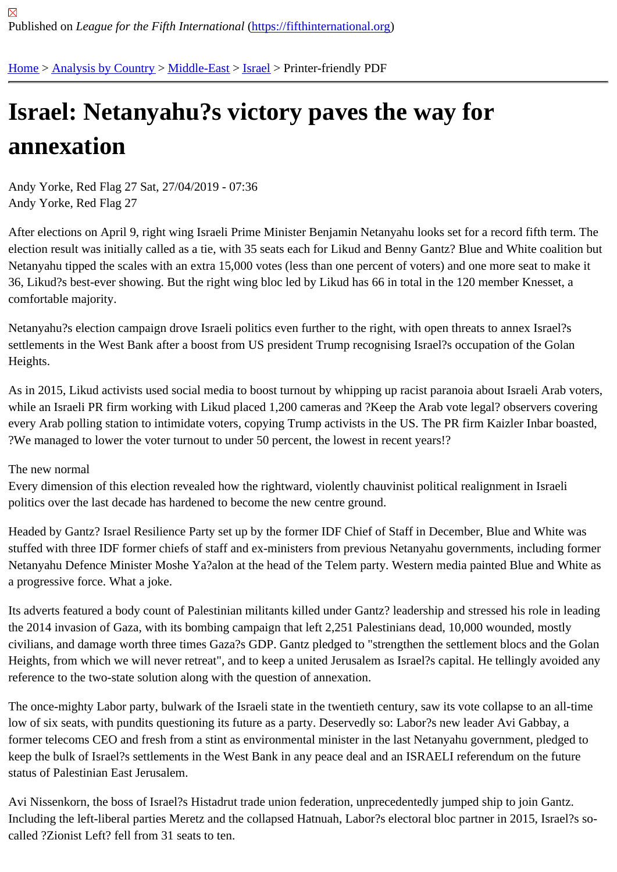## [Isra](https://fifthinternational.org/)[el: Netany](https://fifthinternational.org/category/1)[ahu?s](https://fifthinternational.org/category/1/178) [vict](https://fifthinternational.org/category/1/178/465)ory paves the way for annexation

Andy Yorke, Red Flag 27 Sat, 27/04/2019 - 07:36 Andy Yorke, Red Flag 27

After elections on April 9, right wing Israeli Prime Minister Benjamin Netanyahu looks set for a record fifth term. Th election result was initially called as a tie, with 35 seats each for Likud and Benny Gantz? Blue and White coalition but Netanyahu tipped the scales with an extra 15,000 votes (less than one percent of voters) and one more seat to ma 36, Likud?s best-ever showing. But the right wing bloc led by Likud has 66 in total in the 120 member Knesset, a comfortable majority.

Netanyahu?s election campaign drove Israeli politics even further to the right, with open threats to annex Israel?s settlements in the West Bank after a boost from US president Trump recognising Israel?s occupation of the Golan Heights.

As in 2015, Likud activists used social media to boost turnout by whipping up racist paranoia about Israeli Arab vo while an Israeli PR firm working with Likud placed 1,200 cameras and ?Keep the Arab vote legal? observers cover every Arab polling station to intimidate voters, copying Trump activists in the US. The PR firm Kaizler Inbar boaste ?We managed to lower the voter turnout to under 50 percent, the lowest in recent years!?

## The new normal

Every dimension of this election revealed how the rightward, violently chauvinist political realignment in Israeli politics over the last decade has hardened to become the new centre ground.

Headed by Gantz? Israel Resilience Party set up by the former IDF Chief of Staff in December, Blue and White wa stuffed with three IDF former chiefs of staff and ex-ministers from previous Netanyahu governments, including forn Netanyahu Defence Minister Moshe Ya?alon at the head of the Telem party. Western media painted Blue and Wh a progressive force. What a joke.

Its adverts featured a body count of Palestinian militants killed under Gantz? leadership and stressed his role in lea the 2014 invasion of Gaza, with its bombing campaign that left 2,251 Palestinians dead, 10,000 wounded, mostly civilians, and damage worth three times Gaza?s GDP. Gantz pledged to "strengthen the settlement blocs and the Heights, from which we will never retreat", and to keep a united Jerusalem as Israel?s capital. He tellingly avoided reference to the two-state solution along with the question of annexation.

The once-mighty Labor party, bulwark of the Israeli state in the twentieth century, saw its vote collapse to an all-tin low of six seats, with pundits questioning its future as a party. Deservedly so: Labor?s new leader Avi Gabbay, a former telecoms CEO and fresh from a stint as environmental minister in the last Netanyahu government, pledged keep the bulk of Israel?s settlements in the West Bank in any peace deal and an ISRAELI referendum on the futur status of Palestinian East Jerusalem.

Avi Nissenkorn, the boss of Israel?s Histadrut trade union federation, unprecedentedly jumped ship to join Gantz. Including the left-liberal parties Meretz and the collapsed Hatnuah, Labor?s electoral bloc partner in 2015, Israel?s called ?Zionist Left? fell from 31 seats to ten.